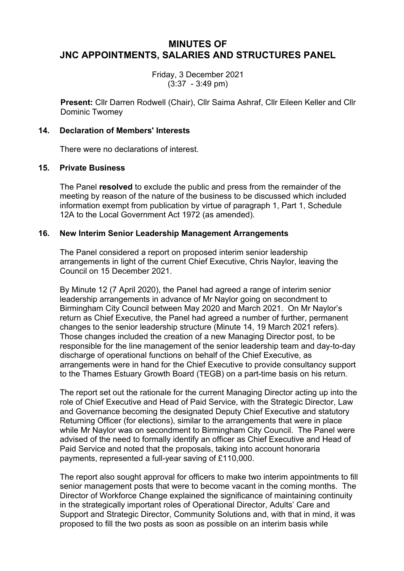# **MINUTES OF JNC APPOINTMENTS, SALARIES AND STRUCTURES PANEL**

Friday, 3 December 2021 (3:37 - 3:49 pm)

**Present:** Cllr Darren Rodwell (Chair), Cllr Saima Ashraf, Cllr Eileen Keller and Cllr Dominic Twomey

### **14. Declaration of Members' Interests**

There were no declarations of interest.

#### **15. Private Business**

The Panel **resolved** to exclude the public and press from the remainder of the meeting by reason of the nature of the business to be discussed which included information exempt from publication by virtue of paragraph 1, Part 1, Schedule 12A to the Local Government Act 1972 (as amended).

## **16. New Interim Senior Leadership Management Arrangements**

The Panel considered a report on proposed interim senior leadership arrangements in light of the current Chief Executive, Chris Naylor, leaving the Council on 15 December 2021.

By Minute 12 (7 April 2020), the Panel had agreed a range of interim senior leadership arrangements in advance of Mr Naylor going on secondment to Birmingham City Council between May 2020 and March 2021. On Mr Naylor's return as Chief Executive, the Panel had agreed a number of further, permanent changes to the senior leadership structure (Minute 14, 19 March 2021 refers). Those changes included the creation of a new Managing Director post, to be responsible for the line management of the senior leadership team and day-to-day discharge of operational functions on behalf of the Chief Executive, as arrangements were in hand for the Chief Executive to provide consultancy support to the Thames Estuary Growth Board (TEGB) on a part-time basis on his return.

The report set out the rationale for the current Managing Director acting up into the role of Chief Executive and Head of Paid Service, with the Strategic Director, Law and Governance becoming the designated Deputy Chief Executive and statutory Returning Officer (for elections), similar to the arrangements that were in place while Mr Naylor was on secondment to Birmingham City Council. The Panel were advised of the need to formally identify an officer as Chief Executive and Head of Paid Service and noted that the proposals, taking into account honoraria payments, represented a full-year saving of £110,000.

The report also sought approval for officers to make two interim appointments to fill senior management posts that were to become vacant in the coming months. The Director of Workforce Change explained the significance of maintaining continuity in the strategically important roles of Operational Director, Adults' Care and Support and Strategic Director, Community Solutions and, with that in mind, it was proposed to fill the two posts as soon as possible on an interim basis while